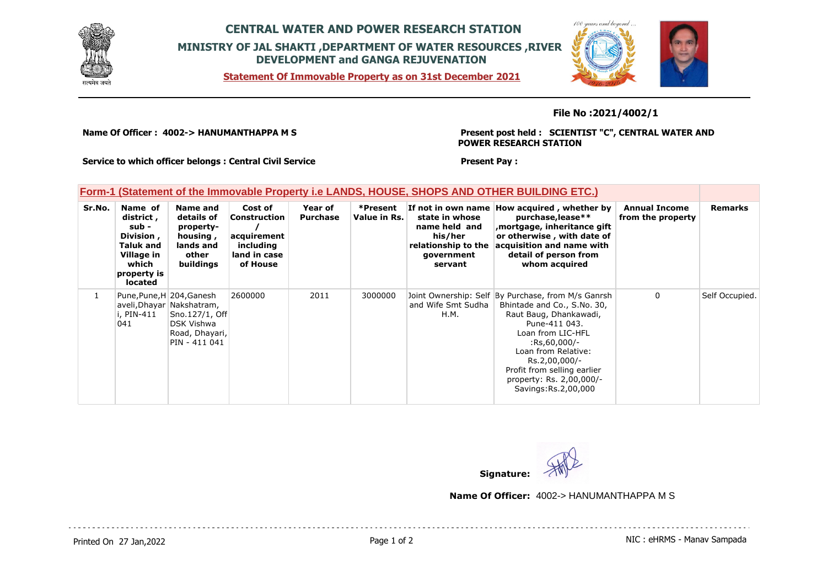

## **CENTRAL WATER AND POWER RESEARCH STATION MINISTRY OF JAL SHAKTI ,DEPARTMENT OF WATER RESOURCES ,RIVER DEVELOPMENT and GANGA REJUVENATION**

**Form-1 (Statement of the Immovable Property i.e LANDS, HOUSE, SHOPS AND OTHER BUILDING ETC.)**

**Statement Of Immovable Property as on 31st December 2021**



**File No :2021/4002/1**

**Name Of Officer : 4002-> HANUMANTHAPPA M S** 

**Present post held : SCIENTIST "C", CENTRAL WATER AND POWER RESEARCH STATION**

**Service to which officer belongs : Central Civil Service**

**Present Pay :** 

| ן טוווי־ן נטמנטווטות טו מוט ווווווטימאוט ו וטאטונץ ווט באמטט, ווטטטב, טווטו ט אמט ט ו וובת טטובטומט ב דטו |                                                                                                                  |                                                                                                                                  |                                                                                 |                            |                          |                                                                                            |                                                                                                                                                                                                                                                                                                  |                                           |                |
|-----------------------------------------------------------------------------------------------------------|------------------------------------------------------------------------------------------------------------------|----------------------------------------------------------------------------------------------------------------------------------|---------------------------------------------------------------------------------|----------------------------|--------------------------|--------------------------------------------------------------------------------------------|--------------------------------------------------------------------------------------------------------------------------------------------------------------------------------------------------------------------------------------------------------------------------------------------------|-------------------------------------------|----------------|
| Sr.No.                                                                                                    | Name of<br>district ,<br>sub -<br>Division,<br>Taluk and<br>Village in<br>which<br>property is<br><b>located</b> | <b>Name and</b><br>details of<br>property-<br>housing,<br>lands and<br>other<br>buildings                                        | Cost of<br>Construction<br>acquirement<br>including<br>land in case<br>of House | Year of<br><b>Purchase</b> | *Present<br>Value in Rs. | state in whose<br>name held and<br>his/her<br>relationship to the<br>qovernment<br>servant | If not in own name How acquired, whether by<br>purchase, lease**<br>mortgage, inheritance gift,<br>or otherwise, with date of<br>acquisition and name with<br>detail of person from<br>whom acquired                                                                                             | <b>Annual Income</b><br>from the property | Remarks        |
|                                                                                                           | i, PIN-411<br>041                                                                                                | Pune, Pune, H 204, Ganesh<br>aveli, Dhayar Nakshatram,<br>Sno.127/1, Off<br><b>DSK Vishwa</b><br>Road, Dhayari,<br>PIN - 411 041 | 2600000                                                                         | 2011                       | 3000000                  | and Wife Smt Sudha<br>H.M.                                                                 | Joint Ownership: Self By Purchase, from M/s Ganrsh<br>Bhintade and Co., S.No. 30,<br>Raut Baug, Dhankawadi,<br>Pune-411 043.<br>Loan from LIC-HFL<br>$:$ Rs,60,000/-<br>Loan from Relative:<br>Rs.2,00,000/-<br>Profit from selling earlier<br>property: Rs. 2,00,000/-<br>Savings: Rs. 2,00,000 | $\mathbf{0}$                              | Self Occupied. |



**Name Of Officer:** 4002-> HANUMANTHAPPA M S